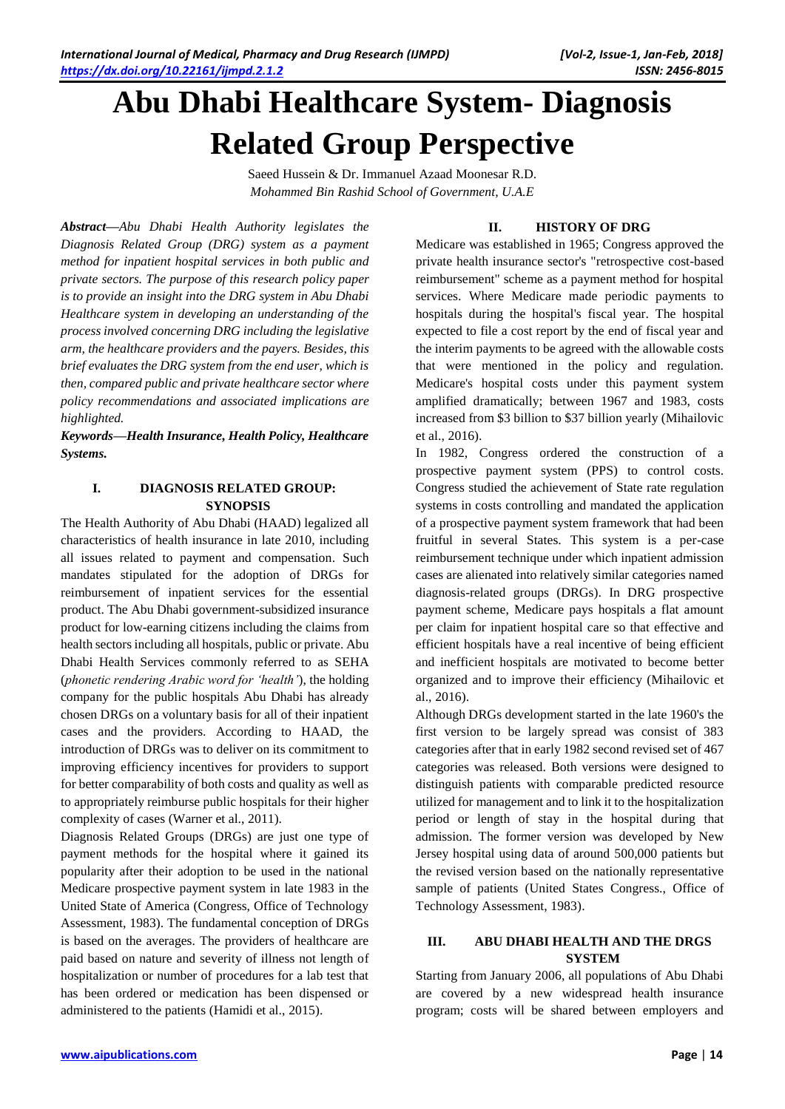# **Abu Dhabi Healthcare System- Diagnosis Related Group Perspective**

Saeed Hussein & Dr. Immanuel Azaad Moonesar R.D. *Mohammed Bin Rashid School of Government, U.A.E*

*Abstract—Abu Dhabi Health Authority legislates the Diagnosis Related Group (DRG) system as a payment method for inpatient hospital services in both public and private sectors. The purpose of this research policy paper is to provide an insight into the DRG system in Abu Dhabi Healthcare system in developing an understanding of the process involved concerning DRG including the legislative arm, the healthcare providers and the payers. Besides, this brief evaluates the DRG system from the end user, which is then, compared public and private healthcare sector where policy recommendations and associated implications are highlighted.*

*Keywords—Health Insurance, Health Policy, Healthcare Systems.*

# **I. DIAGNOSIS RELATED GROUP: SYNOPSIS**

The Health Authority of Abu Dhabi (HAAD) legalized all characteristics of health insurance in late 2010, including all issues related to payment and compensation. Such mandates stipulated for the adoption of DRGs for reimbursement of inpatient services for the essential product. The Abu Dhabi government-subsidized insurance product for low-earning citizens including the claims from health sectors including all hospitals, public or private. Abu Dhabi Health Services commonly referred to as SEHA (*phonetic rendering Arabic word for 'health'*), the holding company for the public hospitals Abu Dhabi has already chosen DRGs on a voluntary basis for all of their inpatient cases and the providers. According to HAAD, the introduction of DRGs was to deliver on its commitment to improving efficiency incentives for providers to support for better comparability of both costs and quality as well as to appropriately reimburse public hospitals for their higher complexity of cases (Warner et al., 2011).

Diagnosis Related Groups (DRGs) are just one type of payment methods for the hospital where it gained its popularity after their adoption to be used in the national Medicare prospective payment system in late 1983 in the United State of America (Congress, Office of Technology Assessment, 1983). The fundamental conception of DRGs is based on the averages. The providers of healthcare are paid based on nature and severity of illness not length of hospitalization or number of procedures for a lab test that has been ordered or medication has been dispensed or administered to the patients (Hamidi et al., 2015).

## **II. HISTORY OF DRG**

Medicare was established in 1965; Congress approved the private health insurance sector's "retrospective cost-based reimbursement" scheme as a payment method for hospital services. Where Medicare made periodic payments to hospitals during the hospital's fiscal year. The hospital expected to file a cost report by the end of fiscal year and the interim payments to be agreed with the allowable costs that were mentioned in the policy and regulation. Medicare's hospital costs under this payment system amplified dramatically; between 1967 and 1983, costs increased from \$3 billion to \$37 billion yearly (Mihailovic et al., 2016).

In 1982, Congress ordered the construction of a prospective payment system (PPS) to control costs. Congress studied the achievement of State rate regulation systems in costs controlling and mandated the application of a prospective payment system framework that had been fruitful in several States. This system is a per-case reimbursement technique under which inpatient admission cases are alienated into relatively similar categories named diagnosis-related groups (DRGs). In DRG prospective payment scheme, Medicare pays hospitals a flat amount per claim for inpatient hospital care so that effective and efficient hospitals have a real incentive of being efficient and inefficient hospitals are motivated to become better organized and to improve their efficiency (Mihailovic et al., 2016).

Although DRGs development started in the late 1960's the first version to be largely spread was consist of 383 categories after that in early 1982 second revised set of 467 categories was released. Both versions were designed to distinguish patients with comparable predicted resource utilized for management and to link it to the hospitalization period or length of stay in the hospital during that admission. The former version was developed by New Jersey hospital using data of around 500,000 patients but the revised version based on the nationally representative sample of patients (United States Congress., Office of Technology Assessment, 1983).

### **III. ABU DHABI HEALTH AND THE DRGS SYSTEM**

Starting from January 2006, all populations of Abu Dhabi are covered by a new widespread health insurance program; costs will be shared between employers and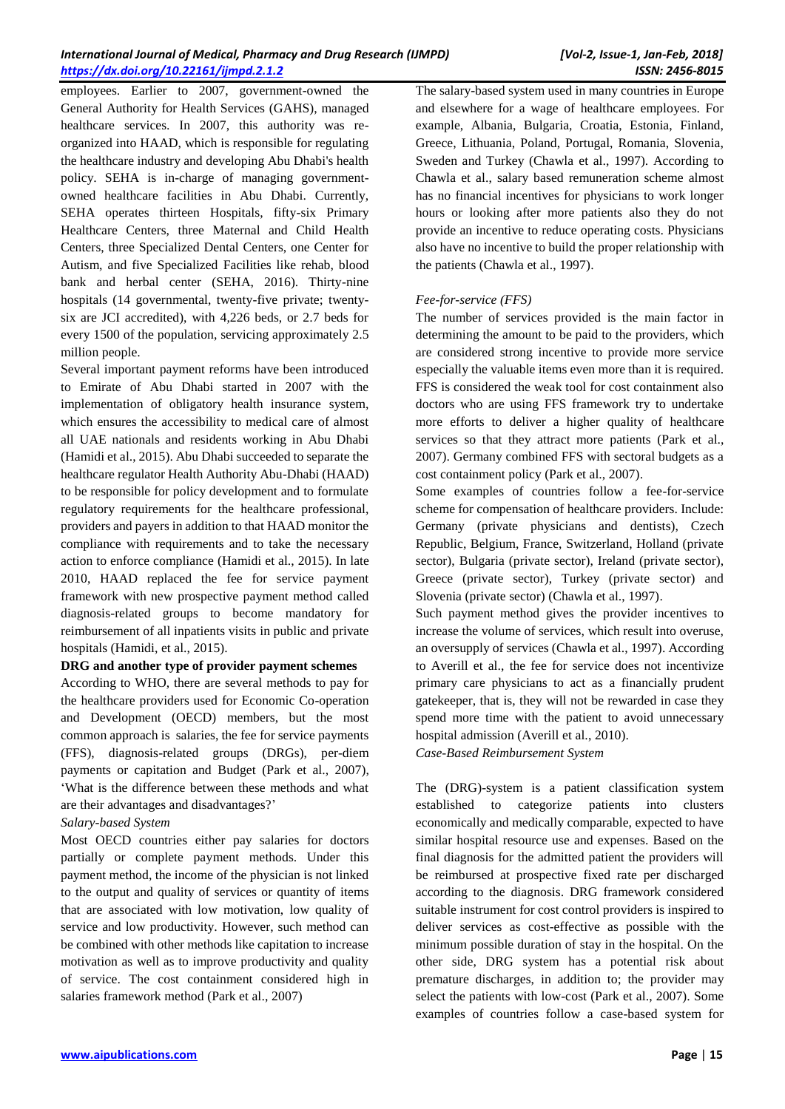employees. Earlier to 2007, government-owned the General Authority for Health Services (GAHS), managed healthcare services. In 2007, this authority was reorganized into HAAD, which is responsible for regulating the healthcare industry and developing Abu Dhabi's health policy. SEHA is in-charge of managing governmentowned healthcare facilities in Abu Dhabi. Currently, SEHA operates thirteen Hospitals, fifty-six Primary Healthcare Centers, three Maternal and Child Health Centers, three Specialized Dental Centers, one Center for Autism, and five Specialized Facilities like rehab, blood bank and herbal center (SEHA, 2016). Thirty-nine hospitals (14 governmental, twenty-five private; twentysix are JCI accredited), with 4,226 beds, or 2.7 beds for every 1500 of the population, servicing approximately 2.5 million people.

Several important payment reforms have been introduced to Emirate of Abu Dhabi started in 2007 with the implementation of obligatory health insurance system, which ensures the accessibility to medical care of almost all UAE nationals and residents working in Abu Dhabi (Hamidi et al., 2015). Abu Dhabi succeeded to separate the healthcare regulator Health Authority Abu-Dhabi (HAAD) to be responsible for policy development and to formulate regulatory requirements for the healthcare professional, providers and payers in addition to that HAAD monitor the compliance with requirements and to take the necessary action to enforce compliance (Hamidi et al., 2015). In late 2010, HAAD replaced the fee for service payment framework with new prospective payment method called diagnosis-related groups to become mandatory for reimbursement of all inpatients visits in public and private hospitals (Hamidi, et al., 2015).

#### **DRG and another type of provider payment schemes**

According to WHO, there are several methods to pay for the healthcare providers used for Economic Co-operation and Development (OECD) members, but the most common approach is salaries, the fee for service payments (FFS), diagnosis-related groups (DRGs), per-diem payments or capitation and Budget (Park et al., 2007), 'What is the difference between these methods and what are their advantages and disadvantages?'

#### *Salary-based System*

Most OECD countries either pay salaries for doctors partially or complete payment methods. Under this payment method, the income of the physician is not linked to the output and quality of services or quantity of items that are associated with low motivation, low quality of service and low productivity. However, such method can be combined with other methods like capitation to increase motivation as well as to improve productivity and quality of service. The cost containment considered high in salaries framework method (Park et al., 2007)

The salary-based system used in many countries in Europe and elsewhere for a wage of healthcare employees. For example, Albania, Bulgaria, Croatia, Estonia, Finland, Greece, Lithuania, Poland, Portugal, Romania, Slovenia, Sweden and Turkey (Chawla et al., 1997). According to Chawla et al., salary based remuneration scheme almost has no financial incentives for physicians to work longer hours or looking after more patients also they do not provide an incentive to reduce operating costs. Physicians also have no incentive to build the proper relationship with the patients (Chawla et al., 1997).

# *Fee-for-service (FFS)*

The number of services provided is the main factor in determining the amount to be paid to the providers, which are considered strong incentive to provide more service especially the valuable items even more than it is required. FFS is considered the weak tool for cost containment also doctors who are using FFS framework try to undertake more efforts to deliver a higher quality of healthcare services so that they attract more patients (Park et al., 2007). Germany combined FFS with sectoral budgets as a cost containment policy (Park et al., 2007).

Some examples of countries follow a fee-for-service scheme for compensation of healthcare providers. Include: Germany (private physicians and dentists), Czech Republic, Belgium, France, Switzerland, Holland (private sector), Bulgaria (private sector), Ireland (private sector), Greece (private sector), Turkey (private sector) and Slovenia (private sector) (Chawla et al., 1997).

Such payment method gives the provider incentives to increase the volume of services, which result into overuse, an oversupply of services (Chawla et al., 1997). According to Averill et al., the fee for service does not incentivize primary care physicians to act as a financially prudent gatekeeper, that is, they will not be rewarded in case they spend more time with the patient to avoid unnecessary hospital admission (Averill et al., 2010).

*Case-Based Reimbursement System* 

The (DRG)-system is a patient classification system established to categorize patients into clusters economically and medically comparable, expected to have similar hospital resource use and expenses. Based on the final diagnosis for the admitted patient the providers will be reimbursed at prospective fixed rate per discharged according to the diagnosis. DRG framework considered suitable instrument for cost control providers is inspired to deliver services as cost-effective as possible with the minimum possible duration of stay in the hospital. On the other side, DRG system has a potential risk about premature discharges, in addition to; the provider may select the patients with low-cost (Park et al., 2007). Some examples of countries follow a case-based system for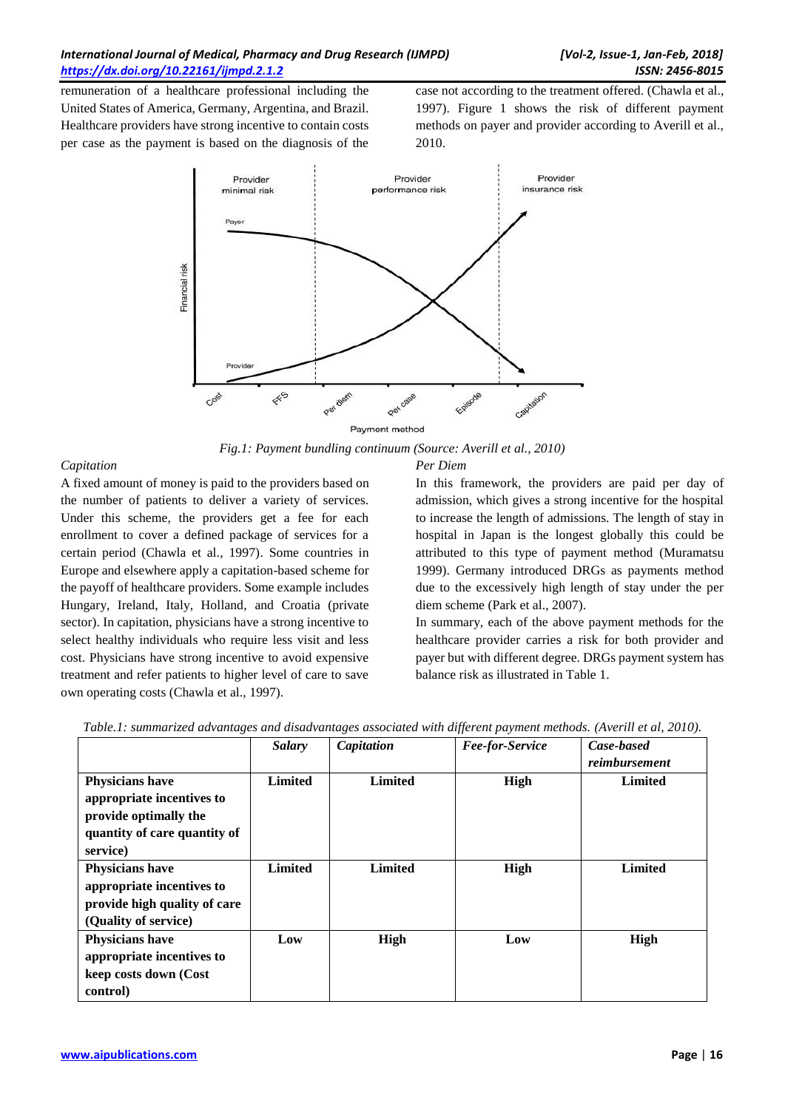remuneration of a healthcare professional including the United States of America, Germany, Argentina, and Brazil. Healthcare providers have strong incentive to contain costs per case as the payment is based on the diagnosis of the

case not according to the treatment offered. (Chawla et al., 1997). Figure 1 shows the risk of different payment methods on payer and provider according to Averill et al., 2010.



Payment method

*Fig.1: Payment bundling continuum (Source: Averill et al., 2010)*

# *Capitation*

A fixed amount of money is paid to the providers based on the number of patients to deliver a variety of services. Under this scheme, the providers get a fee for each enrollment to cover a defined package of services for a certain period (Chawla et al., 1997). Some countries in Europe and elsewhere apply a capitation-based scheme for the payoff of healthcare providers. Some example includes Hungary, Ireland, Italy, Holland, and Croatia (private sector). In capitation, physicians have a strong incentive to select healthy individuals who require less visit and less cost. Physicians have strong incentive to avoid expensive treatment and refer patients to higher level of care to save own operating costs (Chawla et al., 1997).

# *Per Diem*

In this framework, the providers are paid per day of admission, which gives a strong incentive for the hospital to increase the length of admissions. The length of stay in hospital in Japan is the longest globally this could be attributed to this type of payment method (Muramatsu 1999). Germany introduced DRGs as payments method due to the excessively high length of stay under the per diem scheme (Park et al., 2007).

In summary, each of the above payment methods for the healthcare provider carries a risk for both provider and payer but with different degree. DRGs payment system has balance risk as illustrated in Table 1.

|                              | <b>Salary</b>  | Capitation     | Fee-for-Service | Case-based<br>reimbursement |
|------------------------------|----------------|----------------|-----------------|-----------------------------|
|                              |                |                |                 |                             |
| <b>Physicians have</b>       | <b>Limited</b> | <b>Limited</b> | High            | Limited                     |
| appropriate incentives to    |                |                |                 |                             |
| provide optimally the        |                |                |                 |                             |
| quantity of care quantity of |                |                |                 |                             |
| service)                     |                |                |                 |                             |
| <b>Physicians have</b>       | <b>Limited</b> | <b>Limited</b> | High            | <b>Limited</b>              |
| appropriate incentives to    |                |                |                 |                             |
| provide high quality of care |                |                |                 |                             |
| (Quality of service)         |                |                |                 |                             |
| <b>Physicians have</b>       | Low            | High           | Low             | High                        |
| appropriate incentives to    |                |                |                 |                             |
| keep costs down (Cost        |                |                |                 |                             |
| control)                     |                |                |                 |                             |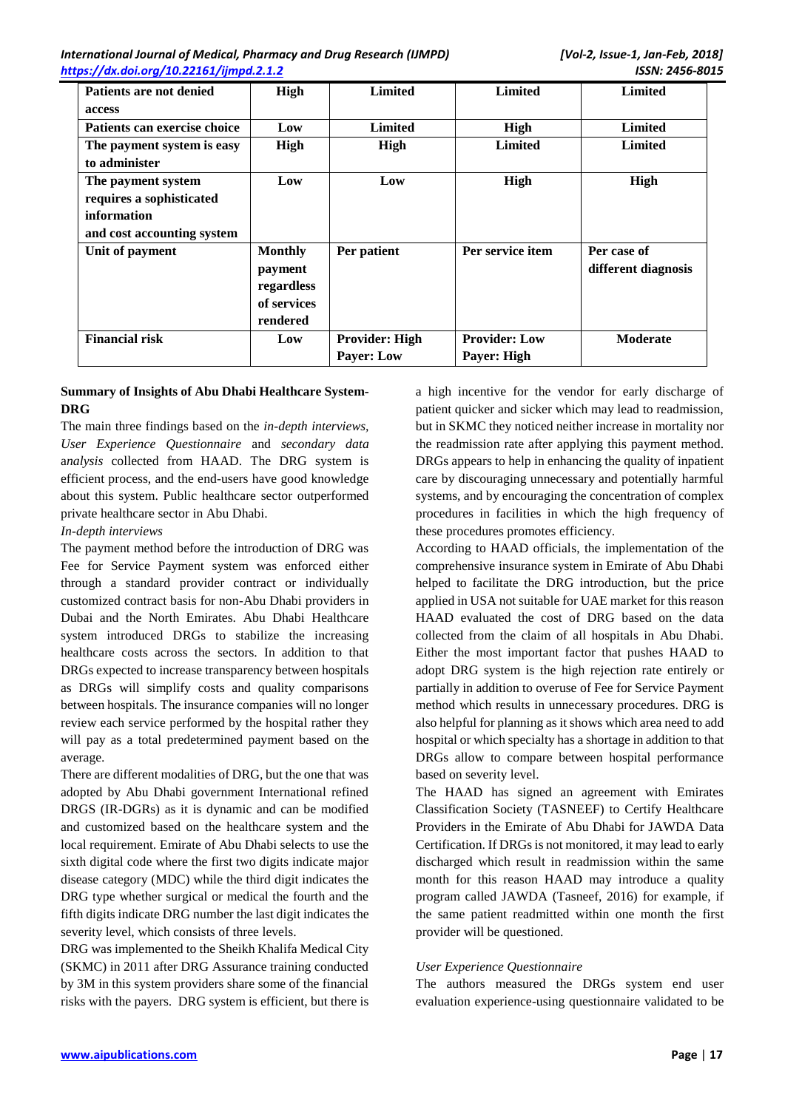| Patients are not denied<br>access                                                           | High                                                               | <b>Limited</b>                             | <b>Limited</b>                      | <b>Limited</b>                     |
|---------------------------------------------------------------------------------------------|--------------------------------------------------------------------|--------------------------------------------|-------------------------------------|------------------------------------|
| Patients can exercise choice                                                                | Low                                                                | <b>Limited</b>                             | High                                | <b>Limited</b>                     |
| The payment system is easy<br>to administer                                                 | High                                                               | High                                       | <b>Limited</b>                      | <b>Limited</b>                     |
| The payment system<br>requires a sophisticated<br>information<br>and cost accounting system | Low                                                                | Low                                        | High                                | High                               |
| Unit of payment                                                                             | <b>Monthly</b><br>payment<br>regardless<br>of services<br>rendered | Per patient                                | Per service item                    | Per case of<br>different diagnosis |
| <b>Financial risk</b>                                                                       | Low                                                                | <b>Provider: High</b><br><b>Payer: Low</b> | <b>Provider: Low</b><br>Payer: High | <b>Moderate</b>                    |

## **Summary of Insights of Abu Dhabi Healthcare System-DRG**

The main three findings based on the *in-depth interviews, User Experience Questionnaire* and *secondary data* a*nalysis* collected from HAAD. The DRG system is efficient process, and the end-users have good knowledge about this system. Public healthcare sector outperformed private healthcare sector in Abu Dhabi.

### *In-depth interviews*

The payment method before the introduction of DRG was Fee for Service Payment system was enforced either through a standard provider contract or individually customized contract basis for non-Abu Dhabi providers in Dubai and the North Emirates. Abu Dhabi Healthcare system introduced DRGs to stabilize the increasing healthcare costs across the sectors. In addition to that DRGs expected to increase transparency between hospitals as DRGs will simplify costs and quality comparisons between hospitals. The insurance companies will no longer review each service performed by the hospital rather they will pay as a total predetermined payment based on the average.

There are different modalities of DRG, but the one that was adopted by Abu Dhabi government International refined DRGS (IR-DGRs) as it is dynamic and can be modified and customized based on the healthcare system and the local requirement. Emirate of Abu Dhabi selects to use the sixth digital code where the first two digits indicate major disease category (MDC) while the third digit indicates the DRG type whether surgical or medical the fourth and the fifth digits indicate DRG number the last digit indicates the severity level, which consists of three levels.

DRG was implemented to the Sheikh Khalifa Medical City (SKMC) in 2011 after DRG Assurance training conducted by 3M in this system providers share some of the financial risks with the payers. DRG system is efficient, but there is a high incentive for the vendor for early discharge of patient quicker and sicker which may lead to readmission, but in SKMC they noticed neither increase in mortality nor the readmission rate after applying this payment method. DRGs appears to help in enhancing the quality of inpatient care by discouraging unnecessary and potentially harmful systems, and by encouraging the concentration of complex procedures in facilities in which the high frequency of these procedures promotes efficiency.

According to HAAD officials, the implementation of the comprehensive insurance system in Emirate of Abu Dhabi helped to facilitate the DRG introduction, but the price applied in USA not suitable for UAE market for this reason HAAD evaluated the cost of DRG based on the data collected from the claim of all hospitals in Abu Dhabi. Either the most important factor that pushes HAAD to adopt DRG system is the high rejection rate entirely or partially in addition to overuse of Fee for Service Payment method which results in unnecessary procedures. DRG is also helpful for planning as it shows which area need to add hospital or which specialty has a shortage in addition to that DRGs allow to compare between hospital performance based on severity level.

The HAAD has signed an agreement with Emirates Classification Society (TASNEEF) to Certify Healthcare Providers in the Emirate of Abu Dhabi for JAWDA Data Certification. If DRGs is not monitored, it may lead to early discharged which result in readmission within the same month for this reason HAAD may introduce a quality program called JAWDA (Tasneef, 2016) for example, if the same patient readmitted within one month the first provider will be questioned.

# *User Experience Questionnaire*

The authors measured the DRGs system end user evaluation experience-using questionnaire validated to be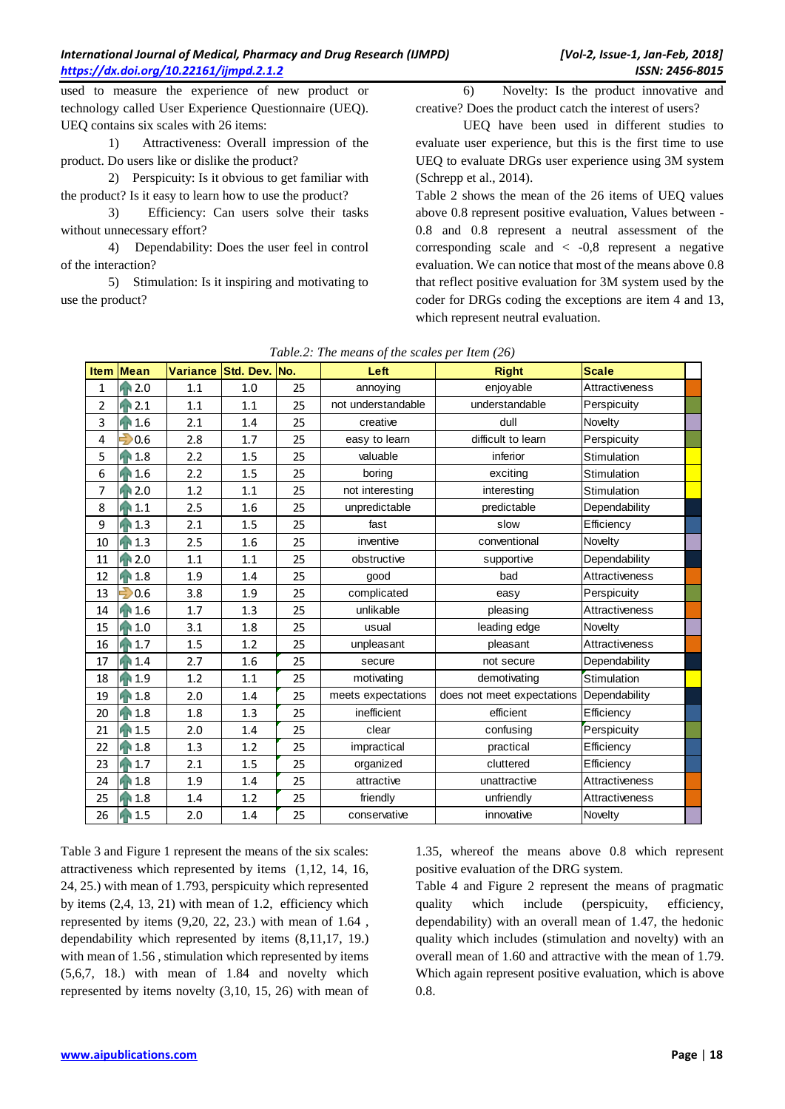used to measure the experience of new product or technology called User Experience Questionnaire (UEQ). UEQ contains six scales with 26 items:

1) Attractiveness: Overall impression of the product. Do users like or dislike the product?

2) Perspicuity: Is it obvious to get familiar with the product? Is it easy to learn how to use the product?

3) Efficiency: Can users solve their tasks without unnecessary effort?

4) Dependability: Does the user feel in control of the interaction?

5) Stimulation: Is it inspiring and motivating to use the product?

6) Novelty: Is the product innovative and creative? Does the product catch the interest of users?

UEQ have been used in different studies to evaluate user experience, but this is the first time to use UEQ to evaluate DRGs user experience using 3M system (Schrepp et al., 2014).

Table 2 shows the mean of the 26 items of UEQ values above 0.8 represent positive evaluation, Values between - 0.8 and 0.8 represent a neutral assessment of the corresponding scale and  $\langle -0.8 \rangle$  represent a negative evaluation. We can notice that most of the means above 0.8 that reflect positive evaluation for 3M system used by the coder for DRGs coding the exceptions are item 4 and 13, which represent neutral evaluation.

| <b>Item</b>    | <b>Mean</b> | <b>Variance</b> | Std. Dev. No. |    | Left               | <b>Right</b>               | <b>Scale</b>   |  |
|----------------|-------------|-----------------|---------------|----|--------------------|----------------------------|----------------|--|
| $\mathbf{1}$   | 2.0         | 1.1             | 1.0           | 25 | annoying           | enjoyable                  | Attractiveness |  |
| $\overline{2}$ | 2.1         | 1.1             | 1.1           | 25 | not understandable | understandable             | Perspicuity    |  |
| 3              | 1.6         | 2.1             | 1.4           | 25 | creative           | dull                       | Novelty        |  |
| 4              | 0.6         | 2.8             | 1.7           | 25 | easy to learn      | difficult to learn         | Perspicuity    |  |
| 5              | 1.8         | 2.2             | 1.5           | 25 | valuable           | inferior                   | Stimulation    |  |
| 6              | 1.6         | 2.2             | 1.5           | 25 | boring             | exciting                   | Stimulation    |  |
| 7              | 2.0         | 1.2             | 1.1           | 25 | not interesting    | interesting                | Stimulation    |  |
| 8              | 1.1         | 2.5             | 1.6           | 25 | unpredictable      | predictable                | Dependability  |  |
| 9              | 1.3         | 2.1             | 1.5           | 25 | fast               | slow                       | Efficiency     |  |
| 10             | 1.3         | 2.5             | 1.6           | 25 | inventive          | conventional               | Novelty        |  |
| 11             | 2.0         | 1.1             | 1.1           | 25 | obstructive        | supportive                 | Dependability  |  |
| 12             | 1.8<br>ЙÈ   | 1.9             | 1.4           | 25 | good               | bad                        | Attractiveness |  |
| 13             | 0.6         | 3.8             | 1.9           | 25 | complicated        | easy                       | Perspicuity    |  |
| 14             | 1.6         | 1.7             | 1.3           | 25 | unlikable          | pleasing                   | Attractiveness |  |
| 15             | 1.0         | 3.1             | 1.8           | 25 | usual              | leading edge               | Novelty        |  |
| 16             | 1.7         | 1.5             | 1.2           | 25 | unpleasant         | pleasant                   | Attractiveness |  |
| 17             | 1.4         | 2.7             | 1.6           | 25 | secure             | not secure                 | Dependability  |  |
| 18             | 1.9         | 1.2             | 1.1           | 25 | motivating         | demotivating               | Stimulation    |  |
| 19             | 1.8         | 2.0             | 1.4           | 25 | meets expectations | does not meet expectations | Dependability  |  |
| 20             | 1.8<br>ИŃ   | 1.8             | 1.3           | 25 | inefficient        | efficient                  | Efficiency     |  |
| 21             | 1.5         | 2.0             | 1.4           | 25 | clear              | confusing                  | Perspicuity    |  |
| 22             | 1.8         | 1.3             | 1.2           | 25 | impractical        | practical                  | Efficiency     |  |
| 23             | 1.7         | 2.1             | 1.5           | 25 | organized          | cluttered                  | Efficiency     |  |
| 24             | 1.8         | 1.9             | 1.4           | 25 | attractive         | unattractive               | Attractiveness |  |
| 25             | 1.8         | 1.4             | 1.2           | 25 | friendly           | unfriendly                 | Attractiveness |  |
| 26             | 1.5         | 2.0             | 1.4           | 25 | conservative       | innovative                 | Novelty        |  |

| Table.2: The means of the scales per Item (26) |  |  |  |
|------------------------------------------------|--|--|--|
|------------------------------------------------|--|--|--|

Table 3 and Figure 1 represent the means of the six scales: attractiveness which represented by items (1,12, 14, 16, 24, 25.) with mean of 1.793, perspicuity which represented by items (2,4, 13, 21) with mean of 1.2, efficiency which represented by items  $(9,20, 22, 23)$  with mean of  $1.64$ , dependability which represented by items (8,11,17, 19.) with mean of 1.56 , stimulation which represented by items (5,6,7, 18.) with mean of 1.84 and novelty which represented by items novelty (3,10, 15, 26) with mean of 1.35, whereof the means above 0.8 which represent positive evaluation of the DRG system.

Table 4 and Figure 2 represent the means of pragmatic quality which include (perspicuity, efficiency, dependability) with an overall mean of 1.47, the hedonic quality which includes (stimulation and novelty) with an overall mean of 1.60 and attractive with the mean of 1.79. Which again represent positive evaluation, which is above 0.8.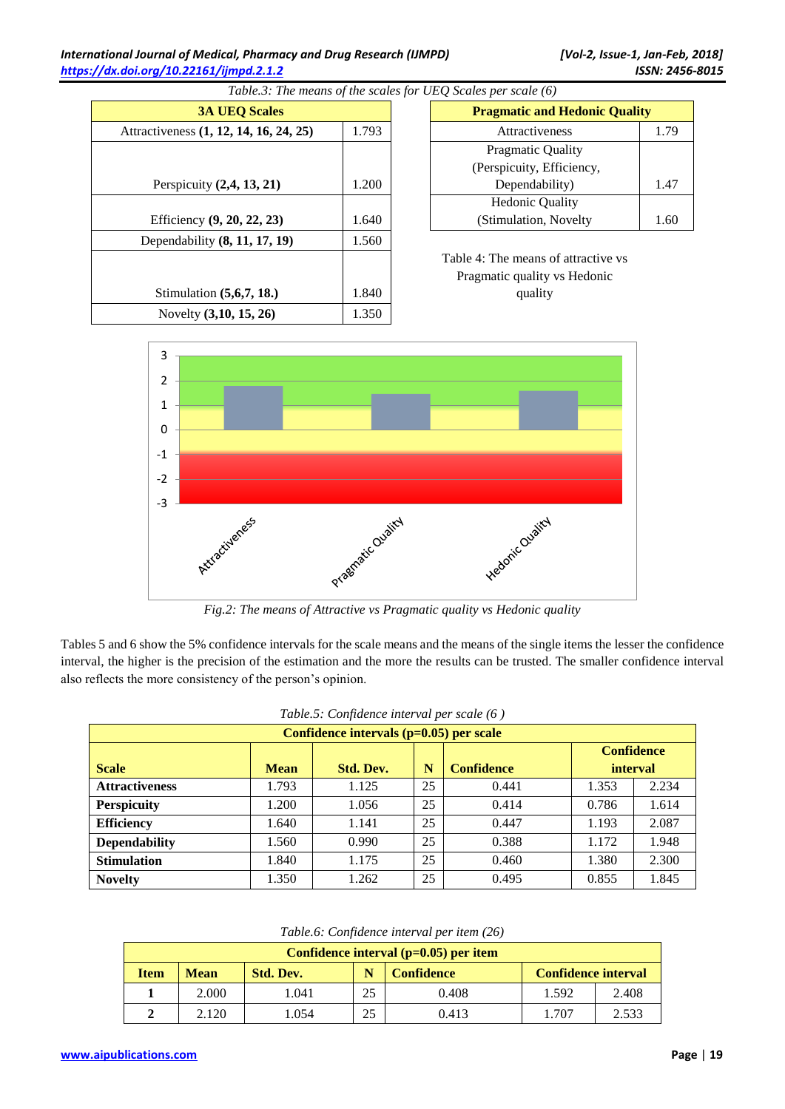| <b>3A UEQ Scales</b>                   |       | <b>Pragmatic and Hedonic Quality</b> |
|----------------------------------------|-------|--------------------------------------|
| Attractiveness (1, 12, 14, 16, 24, 25) | 1.793 | 1.79<br>Attractiveness               |
|                                        |       | <b>Pragmatic Quality</b>             |
|                                        |       | (Perspicuity, Efficiency,            |
| Perspicuity $(2, 4, 13, 21)$           | 1.200 | 1.47<br>Dependability)               |
|                                        |       | <b>Hedonic Quality</b>               |
| Efficiency (9, 20, 22, 23)             | 1.640 | 1.60<br>(Stimulation, Novelty)       |
| Dependability $(8, 11, 17, 19)$        | 1.560 |                                      |
|                                        |       | Table 4: The means of attractive vs  |
|                                        |       | Pragmatic quality vs Hedonic         |
| Stimulation $(5,6,7,18)$               | 1.840 | quality                              |
| Novelty (3,10, 15, 26)                 | 1.350 |                                      |

*Table.3: The means of the scales for UEQ Scales per scale (6)*

| <b>3A UEQ Scales</b>             |       | <b>Pragmatic and Hedonic Quality</b> |      |
|----------------------------------|-------|--------------------------------------|------|
| (1, 12, 14, 16, 24, 25)<br>1.793 |       | Attractiveness                       | 1.79 |
|                                  |       | <b>Pragmatic Quality</b>             |      |
|                                  |       | (Perspicuity, Efficiency,            |      |
| ity $(2,4, 13, 21)$              | 1.200 | Dependability)<br>1.47               |      |
|                                  |       | <b>Hedonic Quality</b>               |      |
| y(9, 20, 22, 23)                 | .640  | (Stimulation, Novelty                | 1.60 |



*Fig.2: The means of Attractive vs Pragmatic quality vs Hedonic quality*

Tables 5 and 6 show the 5% confidence intervals for the scale means and the means of the single items the lesser the confidence interval, the higher is the precision of the estimation and the more the results can be trusted. The smaller confidence interval also reflects the more consistency of the person's opinion.

| Tuble.5. Confluence interval per scale (0) |                   |           |    |                   |                 |       |
|--------------------------------------------|-------------------|-----------|----|-------------------|-----------------|-------|
| Confidence intervals $(p=0.05)$ per scale  |                   |           |    |                   |                 |       |
|                                            | <b>Confidence</b> |           |    |                   |                 |       |
| <b>Scale</b>                               | <b>Mean</b>       | Std. Dev. | N  | <b>Confidence</b> | <b>interval</b> |       |
| <b>Attractiveness</b>                      | 1.793             | 1.125     | 25 | 0.441             | 1.353           | 2.234 |
| <b>Perspicuity</b>                         | 1.200             | 1.056     | 25 | 0.414             | 0.786           | 1.614 |
| <b>Efficiency</b>                          | 1.640             | 1.141     | 25 | 0.447             | 1.193           | 2.087 |
| <b>Dependability</b>                       | 1.560             | 0.990     | 25 | 0.388             | 1.172           | 1.948 |
| <b>Stimulation</b>                         | 1.840             | 1.175     | 25 | 0.460             | 1.380           | 2.300 |
| <b>Novelty</b>                             | 1.350             | 1.262     | 25 | 0.495             | 0.855           | 1.845 |

*Table.5: Confidence interval per scale (6 )*

*Table.6: Confidence interval per item (26)*

|             | Confidence interval $(p=0.05)$ per item |           |    |                   |                            |       |
|-------------|-----------------------------------------|-----------|----|-------------------|----------------------------|-------|
| <b>Item</b> | <b>Mean</b>                             | Std. Dev. | N  | <b>Confidence</b> | <b>Confidence interval</b> |       |
|             | 2.000                                   | 041. ا    | 25 | 0.408             | 1.592                      | 2.408 |
|             | 2.120                                   | .054      | 25 | 0.413             | .707                       | 2.533 |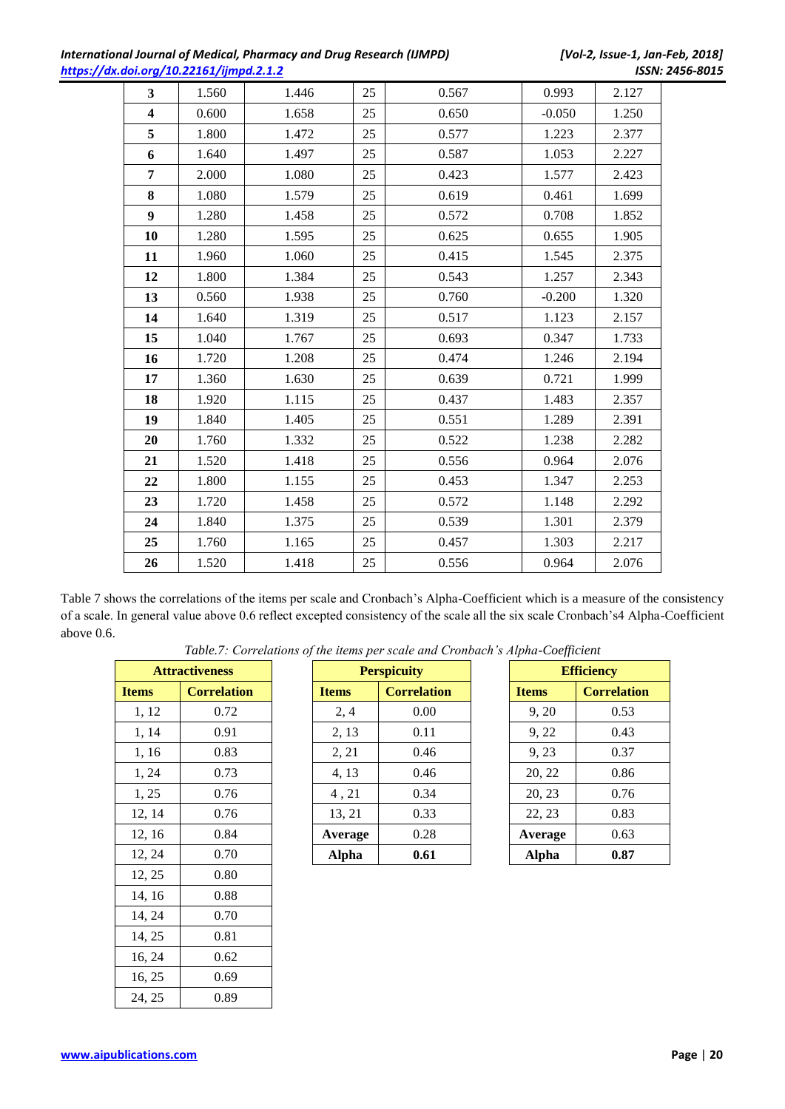| International Journal of Medical, Pharmacy and Drug Research (IJMPD) |  |
|----------------------------------------------------------------------|--|
| https://dx.doi.org/10.22161/ijmpd.2.1.2                              |  |

| $\overline{\mathbf{3}}$ | 1.560 | 1.446 | 25 | 0.567 | 0.993    | 2.127 |
|-------------------------|-------|-------|----|-------|----------|-------|
| $\overline{\mathbf{4}}$ | 0.600 | 1.658 | 25 | 0.650 | $-0.050$ | 1.250 |
| 5                       | 1.800 | 1.472 | 25 | 0.577 | 1.223    | 2.377 |
| 6                       | 1.640 | 1.497 | 25 | 0.587 | 1.053    | 2.227 |
| 7                       | 2.000 | 1.080 | 25 | 0.423 | 1.577    | 2.423 |
| 8                       | 1.080 | 1.579 | 25 | 0.619 | 0.461    | 1.699 |
| 9                       | 1.280 | 1.458 | 25 | 0.572 | 0.708    | 1.852 |
| 10                      | 1.280 | 1.595 | 25 | 0.625 | 0.655    | 1.905 |
| 11                      | 1.960 | 1.060 | 25 | 0.415 | 1.545    | 2.375 |
| 12                      | 1.800 | 1.384 | 25 | 0.543 | 1.257    | 2.343 |
| 13                      | 0.560 | 1.938 | 25 | 0.760 | $-0.200$ | 1.320 |
| 14                      | 1.640 | 1.319 | 25 | 0.517 | 1.123    | 2.157 |
| 15                      | 1.040 | 1.767 | 25 | 0.693 | 0.347    | 1.733 |
| 16                      | 1.720 | 1.208 | 25 | 0.474 | 1.246    | 2.194 |
| 17                      | 1.360 | 1.630 | 25 | 0.639 | 0.721    | 1.999 |
| 18                      | 1.920 | 1.115 | 25 | 0.437 | 1.483    | 2.357 |
| 19                      | 1.840 | 1.405 | 25 | 0.551 | 1.289    | 2.391 |
| 20                      | 1.760 | 1.332 | 25 | 0.522 | 1.238    | 2.282 |
| 21                      | 1.520 | 1.418 | 25 | 0.556 | 0.964    | 2.076 |
| 22                      | 1.800 | 1.155 | 25 | 0.453 | 1.347    | 2.253 |
| 23                      | 1.720 | 1.458 | 25 | 0.572 | 1.148    | 2.292 |
| 24                      | 1.840 | 1.375 | 25 | 0.539 | 1.301    | 2.379 |
| 25                      | 1.760 | 1.165 | 25 | 0.457 | 1.303    | 2.217 |
| 26                      | 1.520 | 1.418 | 25 | 0.556 | 0.964    | 2.076 |

Table 7 shows the correlations of the items per scale and Cronbach's Alpha-Coefficient which is a measure of the consistency of a scale. In general value above 0.6 reflect excepted consistency of the scale all the six scale Cronbach's4 Alpha-Coefficient above 0.6.

*Table.7: Correlations of the items per scale and Cronbach's Alpha-Coefficient*

|              | <b>Attractiveness</b> |
|--------------|-----------------------|
| <b>Items</b> | <b>Correlation</b>    |
| 1, 12        | 0.72                  |
| 1, 14        | 0.91                  |
| 1, 16        | 0.83                  |
| 1, 24        | 0.73                  |
| 1, 25        | 0.76                  |
| 12, 14       | 0.76                  |
| 12, 16       | 0.84                  |
| 12, 24       | 0.70                  |
| 12, 25       | 0.80                  |
| 14, 16       | 0.88                  |
| 14, 24       | 0.70                  |
| 14, 25       | 0.81                  |
| 16, 24       | 0.62                  |
| 16, 25       | 0.69                  |
| 24. 25       | 0.89                  |

| <b>Attractiveness</b> |                    | <b>Perspicuity</b> |                    | <b>Efficiency</b> |                    |
|-----------------------|--------------------|--------------------|--------------------|-------------------|--------------------|
| Items                 | <b>Correlation</b> | <b>Items</b>       | <b>Correlation</b> | <b>Items</b>      | <b>Correlation</b> |
| 1, 12                 | 0.72               | 2,4                | 0.00               | 9, 20             | 0.53               |
| 1, 14                 | 0.91               | 2, 13              | 0.11               | 9, 22             | 0.43               |
| 1, 16                 | 0.83               | 2, 21              | 0.46               | 9, 23             | 0.37               |
| 1, 24                 | 0.73               | 4, 13              | 0.46               | 20, 22            | 0.86               |
| 1, 25                 | 0.76               | 4,21               | 0.34               | 20, 23            | 0.76               |
| 12, 14                | 0.76               | 13, 21             | 0.33               | 22, 23            | 0.83               |
| 12, 16                | 0.84               | Average            | 0.28               | Average           | 0.63               |
| 12, 24                | 0.70               | <b>Alpha</b>       | 0.61               | <b>Alpha</b>      | 0.87               |

| <b>Efficiency</b> |                    |  |  |  |
|-------------------|--------------------|--|--|--|
| <b>Items</b>      | <b>Correlation</b> |  |  |  |
| 9, 20             | 0.53               |  |  |  |
| 9, 22             | 0.43               |  |  |  |
| 9, 23             | 0.37               |  |  |  |
| 20, 22            | 0.86               |  |  |  |
| 20, 23            | 0.76               |  |  |  |
| 22, 23            | 0.83               |  |  |  |
| Average           | 0.63               |  |  |  |
| Alpha             | 0.87               |  |  |  |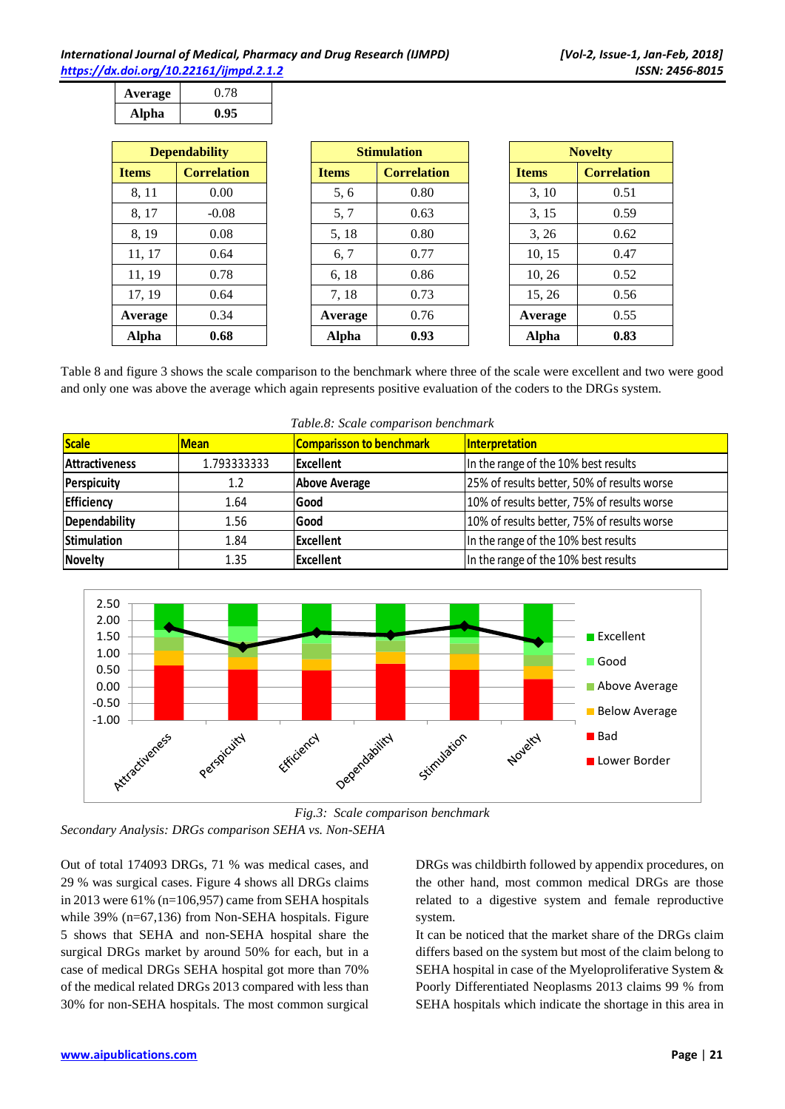| Average | 0.78 |
|---------|------|
| Alpha   | 0.95 |

| <b>Dependability</b> |                    |  |  |
|----------------------|--------------------|--|--|
| <b>Items</b>         | <b>Correlation</b> |  |  |
| 8, 11                | 0.00               |  |  |
| 8, 17                | $-0.08$            |  |  |
| 8, 19                | 0.08               |  |  |
| 11, 17               | 0.64               |  |  |
| 11, 19               | 0.78               |  |  |
| 17, 19               | 0.64               |  |  |
| Average              | 0.34               |  |  |
| Alpha                | 0.68               |  |  |

| <b>Dependability</b> |                    | <b>Stimulation</b> |                    | <b>Novelty</b> |                    |
|----------------------|--------------------|--------------------|--------------------|----------------|--------------------|
| <b>Items</b>         | <b>Correlation</b> | <b>Items</b>       | <b>Correlation</b> | <b>Items</b>   | <b>Correlation</b> |
| 8, 11                | 0.00               | 5, 6               | 0.80               | 3, 10          | 0.51               |
| 8, 17                | $-0.08$            | 5, 7               | 0.63               | 3, 15          | 0.59               |
| 8, 19                | 0.08               | 5, 18              | 0.80               | 3, 26          | 0.62               |
| 11, 17               | 0.64               | 6, 7               | 0.77               | 10, 15         | 0.47               |
| 11, 19               | 0.78               | 6, 18              | 0.86               | 10, 26         | 0.52               |
| 17, 19               | 0.64               | 7, 18              | 0.73               | 15, 26         | 0.56               |
| Average              | 0.34               | Average            | 0.76               | Average        | 0.55               |
| <b>Alpha</b>         | 0.68               | <b>Alpha</b>       | 0.93               | <b>Alpha</b>   | 0.83               |

| <b>Novelty</b> |                    |  |  |
|----------------|--------------------|--|--|
| <b>Items</b>   | <b>Correlation</b> |  |  |
| 3, 10          | 0.51               |  |  |
| 3, 15          | 0.59               |  |  |
| 3, 26          | 0.62               |  |  |
| 10, 15         | 0.47               |  |  |
| 10, 26         | 0.52               |  |  |
| 15, 26         | 0.56               |  |  |
| Average        | 0.55               |  |  |
| Alpha          | 0.83               |  |  |

Table 8 and figure 3 shows the scale comparison to the benchmark where three of the scale were excellent and two were good and only one was above the average which again represents positive evaluation of the coders to the DRGs system.

| Table.8: Scale comparison benchmark |             |                                 |                                             |  |  |
|-------------------------------------|-------------|---------------------------------|---------------------------------------------|--|--|
| <b>Scale</b>                        | <b>Mean</b> | <b>Comparisson to benchmark</b> | Interpretation                              |  |  |
| <b>Attractiveness</b>               | 1.793333333 | <b>Excellent</b>                | In the range of the 10% best results        |  |  |
| <b>Perspicuity</b>                  | 1.2         | <b>Above Average</b>            | 25% of results better, 50% of results worse |  |  |
| Efficiency                          | 1.64        | Good                            | 10% of results better, 75% of results worse |  |  |
| <b>Dependability</b>                | 1.56        | Good                            | 10% of results better, 75% of results worse |  |  |
| <b>Stimulation</b>                  | 1.84        | <b>Excellent</b>                | In the range of the 10% best results        |  |  |
| <b>Novelty</b>                      | 1.35        | <b>Excellent</b>                | In the range of the 10% best results        |  |  |





*Fig.3: Scale comparison benchmark*

Out of total 174093 DRGs, 71 % was medical cases, and 29 % was surgical cases. Figure 4 shows all DRGs claims in 2013 were 61% (n=106,957) came from SEHA hospitals while 39% (n=67,136) from Non-SEHA hospitals. Figure 5 shows that SEHA and non-SEHA hospital share the surgical DRGs market by around 50% for each, but in a case of medical DRGs SEHA hospital got more than 70% of the medical related DRGs 2013 compared with less than 30% for non-SEHA hospitals. The most common surgical

DRGs was childbirth followed by appendix procedures, on the other hand, most common medical DRGs are those related to a digestive system and female reproductive system.

It can be noticed that the market share of the DRGs claim differs based on the system but most of the claim belong to SEHA hospital in case of the Myeloproliferative System & Poorly Differentiated Neoplasms 2013 claims 99 % from SEHA hospitals which indicate the shortage in this area in

*Secondary Analysis: DRGs comparison SEHA vs. Non-SEHA*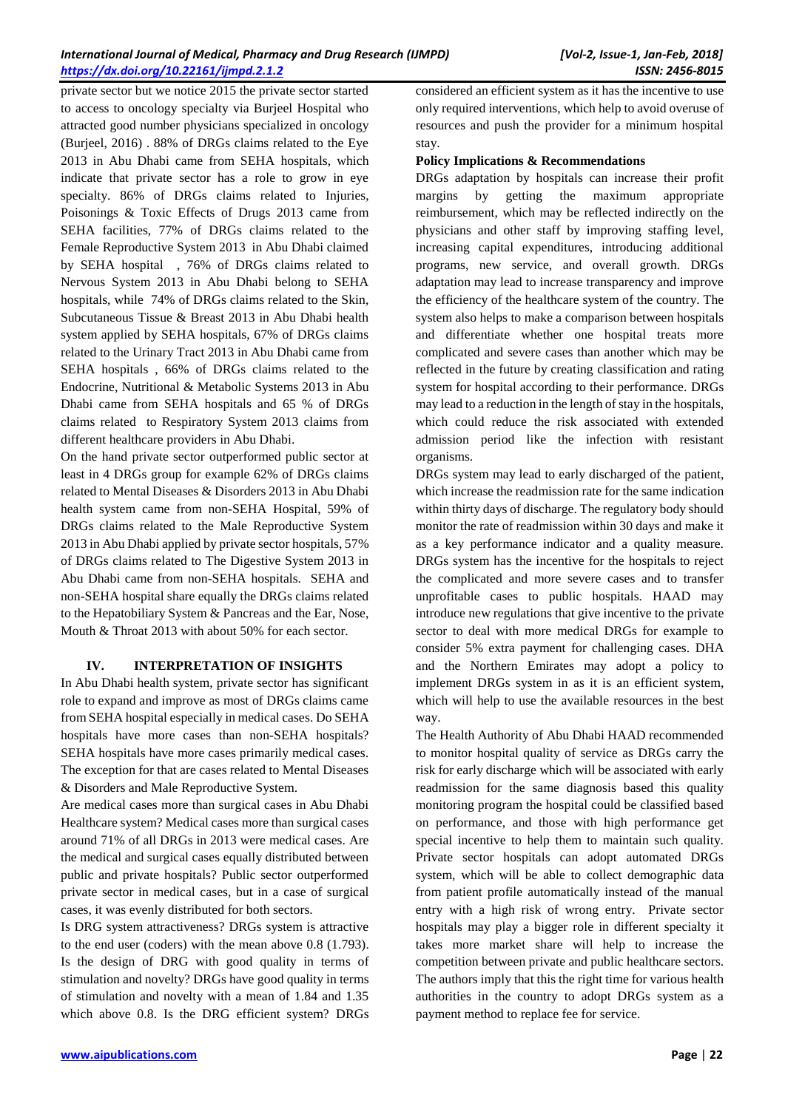private sector but we notice 2015 the private sector started to access to oncology specialty via Burjeel Hospital who attracted good number physicians specialized in oncology (Burjeel, 2016) . 88% of DRGs claims related to the Eye 2013 in Abu Dhabi came from SEHA hospitals, which indicate that private sector has a role to grow in eye specialty. 86% of DRGs claims related to Injuries, Poisonings & Toxic Effects of Drugs 2013 came from SEHA facilities, 77% of DRGs claims related to the Female Reproductive System 2013 in Abu Dhabi claimed by SEHA hospital , 76% of DRGs claims related to Nervous System 2013 in Abu Dhabi belong to SEHA hospitals, while 74% of DRGs claims related to the Skin, Subcutaneous Tissue & Breast 2013 in Abu Dhabi health system applied by SEHA hospitals, 67% of DRGs claims related to the Urinary Tract 2013 in Abu Dhabi came from SEHA hospitals , 66% of DRGs claims related to the Endocrine, Nutritional & Metabolic Systems 2013 in Abu Dhabi came from SEHA hospitals and 65 % of DRGs claims related to Respiratory System 2013 claims from different healthcare providers in Abu Dhabi.

On the hand private sector outperformed public sector at least in 4 DRGs group for example 62% of DRGs claims related to Mental Diseases & Disorders 2013 in Abu Dhabi health system came from non-SEHA Hospital, 59% of DRGs claims related to the Male Reproductive System 2013 in Abu Dhabi applied by private sector hospitals, 57% of DRGs claims related to The Digestive System 2013 in Abu Dhabi came from non-SEHA hospitals. SEHA and non-SEHA hospital share equally the DRGs claims related to the Hepatobiliary System & Pancreas and the Ear, Nose, Mouth & Throat 2013 with about 50% for each sector.

#### **IV. INTERPRETATION OF INSIGHTS**

In Abu Dhabi health system, private sector has significant role to expand and improve as most of DRGs claims came from SEHA hospital especially in medical cases. Do SEHA hospitals have more cases than non-SEHA hospitals? SEHA hospitals have more cases primarily medical cases. The exception for that are cases related to Mental Diseases & Disorders and Male Reproductive System.

Are medical cases more than surgical cases in Abu Dhabi Healthcare system? Medical cases more than surgical cases around 71% of all DRGs in 2013 were medical cases. Are the medical and surgical cases equally distributed between public and private hospitals? Public sector outperformed private sector in medical cases, but in a case of surgical cases, it was evenly distributed for both sectors.

Is DRG system attractiveness? DRGs system is attractive to the end user (coders) with the mean above 0.8 (1.793). Is the design of DRG with good quality in terms of stimulation and novelty? DRGs have good quality in terms of stimulation and novelty with a mean of 1.84 and 1.35 which above 0.8. Is the DRG efficient system? DRGs

considered an efficient system as it has the incentive to use only required interventions, which help to avoid overuse of resources and push the provider for a minimum hospital stay.

#### **Policy Implications & Recommendations**

DRGs adaptation by hospitals can increase their profit margins by getting the maximum appropriate reimbursement, which may be reflected indirectly on the physicians and other staff by improving staffing level, increasing capital expenditures, introducing additional programs, new service, and overall growth. DRGs adaptation may lead to increase transparency and improve the efficiency of the healthcare system of the country. The system also helps to make a comparison between hospitals and differentiate whether one hospital treats more complicated and severe cases than another which may be reflected in the future by creating classification and rating system for hospital according to their performance. DRGs may lead to a reduction in the length of stay in the hospitals, which could reduce the risk associated with extended admission period like the infection with resistant organisms.

DRGs system may lead to early discharged of the patient, which increase the readmission rate for the same indication within thirty days of discharge. The regulatory body should monitor the rate of readmission within 30 days and make it as a key performance indicator and a quality measure. DRGs system has the incentive for the hospitals to reject the complicated and more severe cases and to transfer unprofitable cases to public hospitals. HAAD may introduce new regulations that give incentive to the private sector to deal with more medical DRGs for example to consider 5% extra payment for challenging cases. DHA and the Northern Emirates may adopt a policy to implement DRGs system in as it is an efficient system, which will help to use the available resources in the best way.

The Health Authority of Abu Dhabi HAAD recommended to monitor hospital quality of service as DRGs carry the risk for early discharge which will be associated with early readmission for the same diagnosis based this quality monitoring program the hospital could be classified based on performance, and those with high performance get special incentive to help them to maintain such quality. Private sector hospitals can adopt automated DRGs system, which will be able to collect demographic data from patient profile automatically instead of the manual entry with a high risk of wrong entry. Private sector hospitals may play a bigger role in different specialty it takes more market share will help to increase the competition between private and public healthcare sectors. The authors imply that this the right time for various health authorities in the country to adopt DRGs system as a payment method to replace fee for service.